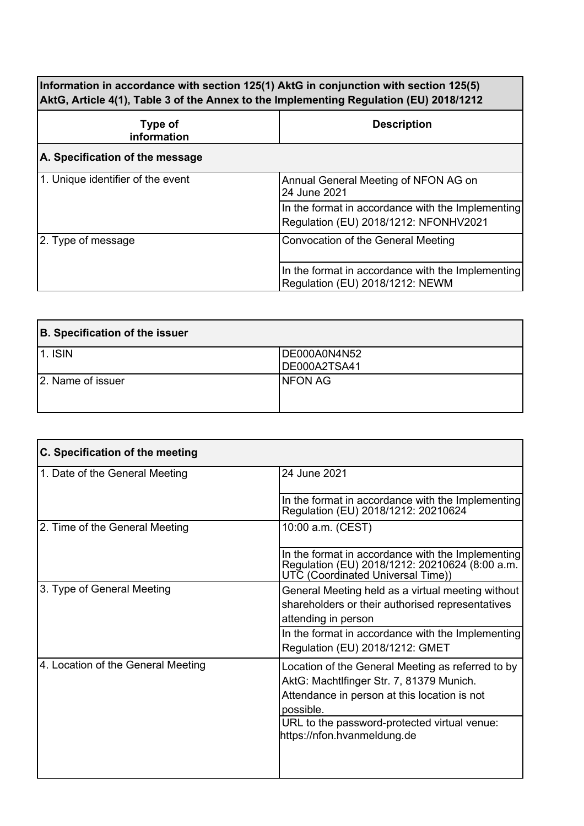**Information in accordance with section 125(1) AktG in conjunction with section 125(5) AktG, Article 4(1), Table 3 of the Annex to the Implementing Regulation (EU) 2018/1212**

| Type of<br>information            | <b>Description</b>                                                                         |
|-----------------------------------|--------------------------------------------------------------------------------------------|
| A. Specification of the message   |                                                                                            |
| 1. Unique identifier of the event | Annual General Meeting of NFON AG on<br>24 June 2021                                       |
|                                   | In the format in accordance with the Implementing<br>Regulation (EU) 2018/1212: NFONHV2021 |
| 2. Type of message                | Convocation of the General Meeting                                                         |
|                                   | In the format in accordance with the Implementing<br>Regulation (EU) 2018/1212: NEWM       |

| B. Specification of the issuer |                              |
|--------------------------------|------------------------------|
| <b>1. ISIN</b>                 | DE000A0N4N52<br>DE000A2TSA41 |
| 2. Name of issuer              | <b>NFON AG</b>               |

| C. Specification of the meeting    |                                                                                                                                                                                                                                           |
|------------------------------------|-------------------------------------------------------------------------------------------------------------------------------------------------------------------------------------------------------------------------------------------|
| 1. Date of the General Meeting     | 24 June 2021                                                                                                                                                                                                                              |
|                                    | In the format in accordance with the Implementing<br>Regulation (EU) 2018/1212: 20210624                                                                                                                                                  |
| 2. Time of the General Meeting     | 10:00 a.m. (CEST)                                                                                                                                                                                                                         |
|                                    | In the format in accordance with the Implementing<br>Regulation (EU) 2018/1212: 20210624 (8:00 a.m.<br>UTČ (Coordinat́ed Universal Time))                                                                                                 |
| 3. Type of General Meeting         | General Meeting held as a virtual meeting without<br>shareholders or their authorised representatives                                                                                                                                     |
|                                    | attending in person                                                                                                                                                                                                                       |
|                                    | In the format in accordance with the Implementing<br>Regulation (EU) 2018/1212: GMET                                                                                                                                                      |
| 4. Location of the General Meeting | Location of the General Meeting as referred to by<br>AktG: Machtlfinger Str. 7, 81379 Munich.<br>Attendance in person at this location is not<br>possible.<br>URL to the password-protected virtual venue:<br>https://nfon.hvanmeldung.de |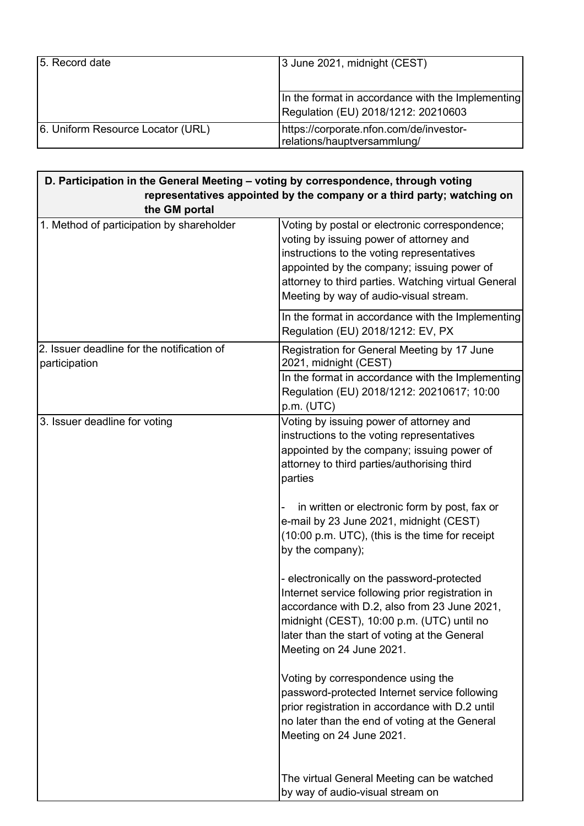| 5. Record date                    | 3 June 2021, midnight (CEST)                                                             |
|-----------------------------------|------------------------------------------------------------------------------------------|
|                                   | In the format in accordance with the Implementing<br>Regulation (EU) 2018/1212: 20210603 |
| 6. Uniform Resource Locator (URL) | https://corporate.nfon.com/de/investor-<br>relations/hauptversammlung/                   |

| D. Participation in the General Meeting - voting by correspondence, through voting |                                                                                                                                                                                                                                                                                                                                                                                                                                                                                                                                                                                                                                                                                                                                                                                                                                                                       |
|------------------------------------------------------------------------------------|-----------------------------------------------------------------------------------------------------------------------------------------------------------------------------------------------------------------------------------------------------------------------------------------------------------------------------------------------------------------------------------------------------------------------------------------------------------------------------------------------------------------------------------------------------------------------------------------------------------------------------------------------------------------------------------------------------------------------------------------------------------------------------------------------------------------------------------------------------------------------|
| representatives appointed by the company or a third party; watching on             |                                                                                                                                                                                                                                                                                                                                                                                                                                                                                                                                                                                                                                                                                                                                                                                                                                                                       |
| the GM portal                                                                      |                                                                                                                                                                                                                                                                                                                                                                                                                                                                                                                                                                                                                                                                                                                                                                                                                                                                       |
| 1. Method of participation by shareholder                                          | Voting by postal or electronic correspondence;<br>voting by issuing power of attorney and<br>instructions to the voting representatives<br>appointed by the company; issuing power of<br>attorney to third parties. Watching virtual General<br>Meeting by way of audio-visual stream.                                                                                                                                                                                                                                                                                                                                                                                                                                                                                                                                                                                |
|                                                                                    | In the format in accordance with the Implementing<br>Regulation (EU) 2018/1212: EV, PX                                                                                                                                                                                                                                                                                                                                                                                                                                                                                                                                                                                                                                                                                                                                                                                |
| 2. Issuer deadline for the notification of<br>participation                        | Registration for General Meeting by 17 June<br>2021, midnight (CEST)<br>In the format in accordance with the Implementing<br>Regulation (EU) 2018/1212: 20210617; 10:00<br>p.m. (UTC)                                                                                                                                                                                                                                                                                                                                                                                                                                                                                                                                                                                                                                                                                 |
| 3. Issuer deadline for voting                                                      | Voting by issuing power of attorney and<br>instructions to the voting representatives<br>appointed by the company; issuing power of<br>attorney to third parties/authorising third<br>parties<br>in written or electronic form by post, fax or<br>e-mail by 23 June 2021, midnight (CEST)<br>(10:00 p.m. UTC), (this is the time for receipt<br>by the company);<br>- electronically on the password-protected<br>Internet service following prior registration in<br>accordance with D.2, also from 23 June 2021,<br>midnight (CEST), 10:00 p.m. (UTC) until no<br>later than the start of voting at the General<br>Meeting on 24 June 2021.<br>Voting by correspondence using the<br>password-protected Internet service following<br>prior registration in accordance with D.2 until<br>no later than the end of voting at the General<br>Meeting on 24 June 2021. |
|                                                                                    | The virtual General Meeting can be watched<br>by way of audio-visual stream on                                                                                                                                                                                                                                                                                                                                                                                                                                                                                                                                                                                                                                                                                                                                                                                        |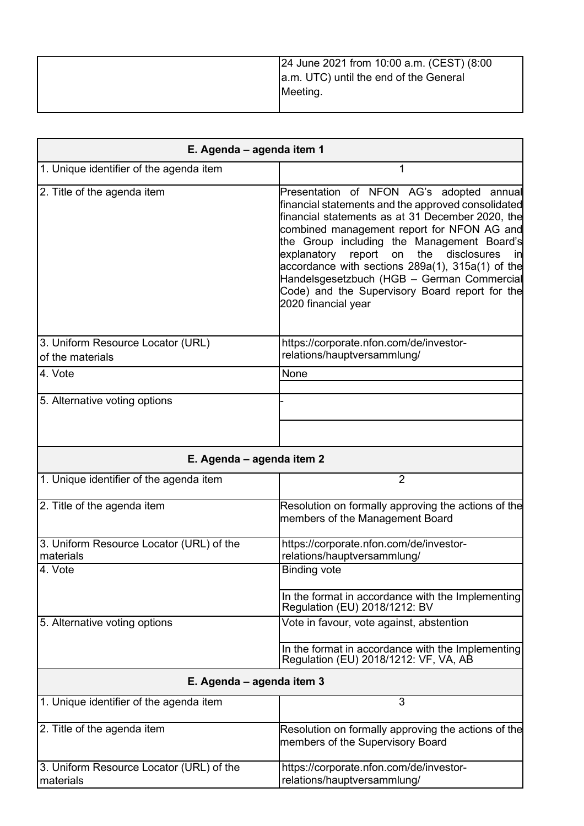| 24 June 2021 from 10:00 a.m. (CEST) (8:00<br>a.m. UTC) until the end of the General |
|-------------------------------------------------------------------------------------|
| Meeting.                                                                            |

| E. Agenda - agenda item 1                             |                                                                                                                                                                                                                                                                                                                                                                                                                                                                                      |
|-------------------------------------------------------|--------------------------------------------------------------------------------------------------------------------------------------------------------------------------------------------------------------------------------------------------------------------------------------------------------------------------------------------------------------------------------------------------------------------------------------------------------------------------------------|
| 1. Unique identifier of the agenda item               | 1                                                                                                                                                                                                                                                                                                                                                                                                                                                                                    |
| 2. Title of the agenda item                           | Presentation of NFON AG's adopted annual<br>financial statements and the approved consolidated<br>financial statements as at 31 December 2020, the<br>combined management report for NFON AG and<br>the Group including the Management Board's<br>disclosures<br>explanatory<br>report<br>the<br>on<br>in<br>accordance with sections 289a(1), 315a(1) of the<br>Handelsgesetzbuch (HGB - German Commercial<br>Code) and the Supervisory Board report for the<br>2020 financial year |
| 3. Uniform Resource Locator (URL)<br>of the materials | https://corporate.nfon.com/de/investor-<br>relations/hauptversammlung/                                                                                                                                                                                                                                                                                                                                                                                                               |
| 4. Vote                                               | None                                                                                                                                                                                                                                                                                                                                                                                                                                                                                 |
| 5. Alternative voting options                         |                                                                                                                                                                                                                                                                                                                                                                                                                                                                                      |
| E. Agenda - agenda item 2                             |                                                                                                                                                                                                                                                                                                                                                                                                                                                                                      |
| 1. Unique identifier of the agenda item               | $\overline{2}$                                                                                                                                                                                                                                                                                                                                                                                                                                                                       |
| 2. Title of the agenda item                           | Resolution on formally approving the actions of the<br>members of the Management Board                                                                                                                                                                                                                                                                                                                                                                                               |
| 3. Uniform Resource Locator (URL) of the<br>materials | https://corporate.nfon.com/de/investor-<br>relations/hauptversammlung/                                                                                                                                                                                                                                                                                                                                                                                                               |
| 4. Vote                                               | <b>Binding vote</b>                                                                                                                                                                                                                                                                                                                                                                                                                                                                  |
|                                                       | In the format in accordance with the Implementing<br>Regulation (EU) 2018/1212: BV                                                                                                                                                                                                                                                                                                                                                                                                   |
| 5. Alternative voting options                         | Vote in favour, vote against, abstention                                                                                                                                                                                                                                                                                                                                                                                                                                             |
|                                                       | In the format in accordance with the Implementing<br>Regulation (EU) 2018/1212: VF, VA, AB                                                                                                                                                                                                                                                                                                                                                                                           |
| E. Agenda - agenda item 3                             |                                                                                                                                                                                                                                                                                                                                                                                                                                                                                      |
| 1. Unique identifier of the agenda item               | 3                                                                                                                                                                                                                                                                                                                                                                                                                                                                                    |
| 2. Title of the agenda item                           | Resolution on formally approving the actions of the<br>members of the Supervisory Board                                                                                                                                                                                                                                                                                                                                                                                              |
| 3. Uniform Resource Locator (URL) of the<br>materials | https://corporate.nfon.com/de/investor-<br>relations/hauptversammlung/                                                                                                                                                                                                                                                                                                                                                                                                               |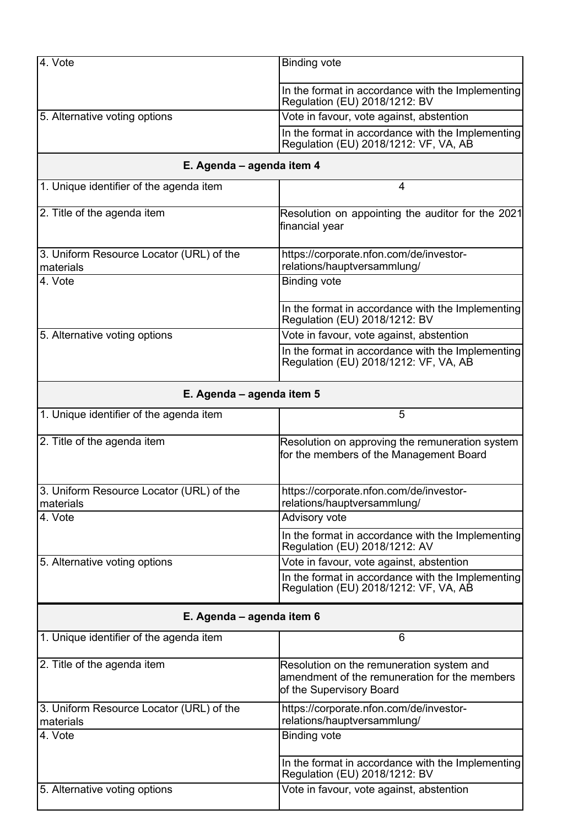| 4. Vote                                               | <b>Binding vote</b>                                                                                                    |  |  |
|-------------------------------------------------------|------------------------------------------------------------------------------------------------------------------------|--|--|
|                                                       | In the format in accordance with the Implementing<br>Regulation (EU) 2018/1212: BV                                     |  |  |
| 5. Alternative voting options                         | Vote in favour, vote against, abstention                                                                               |  |  |
|                                                       | In the format in accordance with the Implementing<br>Regulation (EU) 2018/1212: VF, VA, AB                             |  |  |
| E. Agenda - agenda item 4                             |                                                                                                                        |  |  |
| 1. Unique identifier of the agenda item               | 4                                                                                                                      |  |  |
| 2. Title of the agenda item                           | Resolution on appointing the auditor for the 2021<br>financial year                                                    |  |  |
| 3. Uniform Resource Locator (URL) of the<br>materials | https://corporate.nfon.com/de/investor-<br>relations/hauptversammlung/                                                 |  |  |
| 4. Vote                                               | <b>Binding vote</b>                                                                                                    |  |  |
|                                                       | In the format in accordance with the Implementing<br>Regulation (EU) 2018/1212: BV                                     |  |  |
| 5. Alternative voting options                         | Vote in favour, vote against, abstention                                                                               |  |  |
|                                                       | In the format in accordance with the Implementing<br>Regulation (EU) 2018/1212: VF, VA, AB                             |  |  |
| E. Agenda – agenda item 5                             |                                                                                                                        |  |  |
| 1. Unique identifier of the agenda item               | 5                                                                                                                      |  |  |
| 2. Title of the agenda item                           | Resolution on approving the remuneration system<br>for the members of the Management Board                             |  |  |
| 3. Uniform Resource Locator (URL) of the<br>materials | https://corporate.nfon.com/de/investor-<br>relations/hauptversammlung/                                                 |  |  |
| 4. Vote                                               | Advisory vote                                                                                                          |  |  |
|                                                       | In the format in accordance with the Implementing<br>Regulation (EU) 2018/1212: AV                                     |  |  |
| 5. Alternative voting options                         | Vote in favour, vote against, abstention                                                                               |  |  |
|                                                       | In the format in accordance with the Implementing<br>Regulation (EU) 2018/1212: VF, VA, AB                             |  |  |
|                                                       | E. Agenda - agenda item 6                                                                                              |  |  |
| 1. Unique identifier of the agenda item               | 6                                                                                                                      |  |  |
| 2. Title of the agenda item                           | Resolution on the remuneration system and<br>amendment of the remuneration for the members<br>of the Supervisory Board |  |  |
| 3. Uniform Resource Locator (URL) of the<br>materials | https://corporate.nfon.com/de/investor-<br>relations/hauptversammlung/                                                 |  |  |
| 4. Vote                                               | <b>Binding vote</b>                                                                                                    |  |  |
|                                                       | In the format in accordance with the Implementing<br>Regulation (EU) 2018/1212: BV                                     |  |  |
| 5. Alternative voting options                         | Vote in favour, vote against, abstention                                                                               |  |  |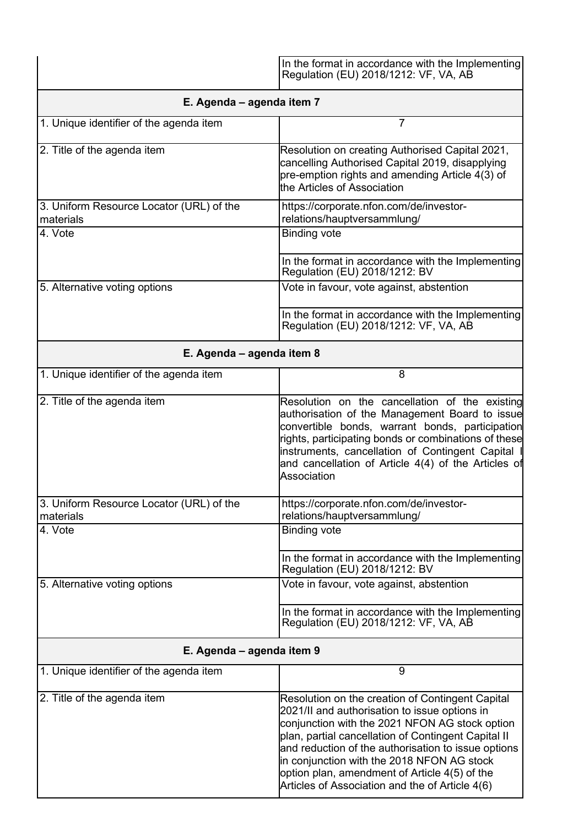|                                                       | In the format in accordance with the Implementing<br>Regulation (EU) 2018/1212: VF, VA, AB                                                                                                                                                                                                                                                                                                                          |  |
|-------------------------------------------------------|---------------------------------------------------------------------------------------------------------------------------------------------------------------------------------------------------------------------------------------------------------------------------------------------------------------------------------------------------------------------------------------------------------------------|--|
| E. Agenda – agenda item 7                             |                                                                                                                                                                                                                                                                                                                                                                                                                     |  |
| 1. Unique identifier of the agenda item               | 7                                                                                                                                                                                                                                                                                                                                                                                                                   |  |
| 2. Title of the agenda item                           | Resolution on creating Authorised Capital 2021,<br>cancelling Authorised Capital 2019, disapplying<br>pre-emption rights and amending Article 4(3) of<br>the Articles of Association                                                                                                                                                                                                                                |  |
| 3. Uniform Resource Locator (URL) of the<br>materials | https://corporate.nfon.com/de/investor-<br>relations/hauptversammlung/                                                                                                                                                                                                                                                                                                                                              |  |
| 4. Vote                                               | <b>Binding vote</b>                                                                                                                                                                                                                                                                                                                                                                                                 |  |
|                                                       | In the format in accordance with the Implementing<br>Regulation (EU) 2018/1212: BV                                                                                                                                                                                                                                                                                                                                  |  |
| 5. Alternative voting options                         | Vote in favour, vote against, abstention                                                                                                                                                                                                                                                                                                                                                                            |  |
|                                                       | In the format in accordance with the Implementing<br>Regulation (EU) 2018/1212: VF, VA, AB                                                                                                                                                                                                                                                                                                                          |  |
| E. Agenda - agenda item 8                             |                                                                                                                                                                                                                                                                                                                                                                                                                     |  |
| 1. Unique identifier of the agenda item               | 8                                                                                                                                                                                                                                                                                                                                                                                                                   |  |
| 2. Title of the agenda item                           | Resolution on the cancellation of the existing<br>authorisation of the Management Board to issue<br>convertible bonds, warrant bonds, participation<br>rights, participating bonds or combinations of these<br>instruments, cancellation of Contingent Capital I<br>and cancellation of Article 4(4) of the Articles of<br>Association                                                                              |  |
| 3. Uniform Resource Locator (URL) of the<br>materials | https://corporate.nfon.com/de/investor-<br>relations/hauptversammlung/                                                                                                                                                                                                                                                                                                                                              |  |
| 4. Vote                                               | <b>Binding vote</b>                                                                                                                                                                                                                                                                                                                                                                                                 |  |
|                                                       | In the format in accordance with the Implementing<br>Regulation (EU) 2018/1212: BV                                                                                                                                                                                                                                                                                                                                  |  |
| 5. Alternative voting options                         | Vote in favour, vote against, abstention                                                                                                                                                                                                                                                                                                                                                                            |  |
|                                                       | In the format in accordance with the Implementing<br>Regulation (EU) 2018/1212: VF, VA, AB                                                                                                                                                                                                                                                                                                                          |  |
| E. Agenda - agenda item 9                             |                                                                                                                                                                                                                                                                                                                                                                                                                     |  |
| 1. Unique identifier of the agenda item               | 9                                                                                                                                                                                                                                                                                                                                                                                                                   |  |
| 2. Title of the agenda item                           | Resolution on the creation of Contingent Capital<br>2021/II and authorisation to issue options in<br>conjunction with the 2021 NFON AG stock option<br>plan, partial cancellation of Contingent Capital II<br>and reduction of the authorisation to issue options<br>in conjunction with the 2018 NFON AG stock<br>option plan, amendment of Article 4(5) of the<br>Articles of Association and the of Article 4(6) |  |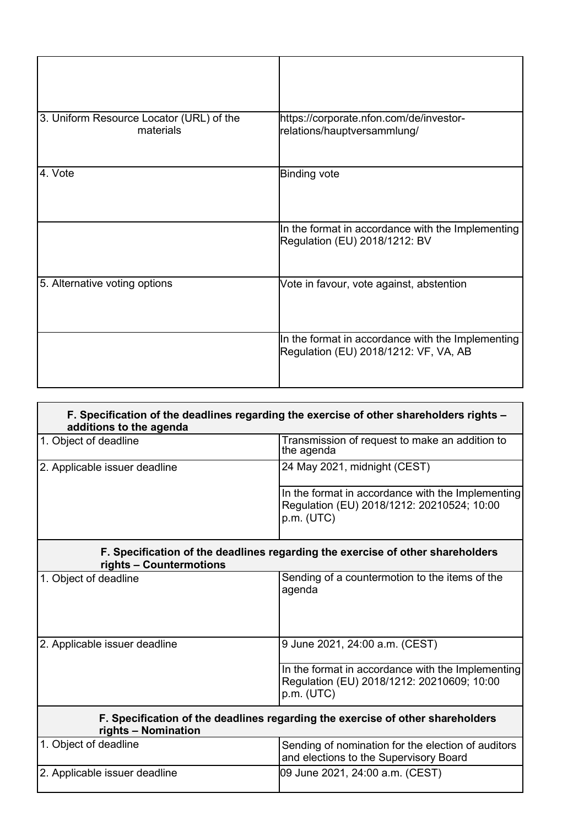| 3. Uniform Resource Locator (URL) of the<br>materials | https://corporate.nfon.com/de/investor-<br>relations/hauptversammlung/                     |
|-------------------------------------------------------|--------------------------------------------------------------------------------------------|
| 4. Vote                                               | <b>Binding vote</b>                                                                        |
|                                                       | In the format in accordance with the Implementing<br>Regulation (EU) 2018/1212: BV         |
| 5. Alternative voting options                         | Vote in favour, vote against, abstention                                                   |
|                                                       | In the format in accordance with the Implementing<br>Regulation (EU) 2018/1212: VF, VA, AB |

| F. Specification of the deadlines regarding the exercise of other shareholders rights –<br>additions to the agenda |                                                                                                               |  |
|--------------------------------------------------------------------------------------------------------------------|---------------------------------------------------------------------------------------------------------------|--|
| 1. Object of deadline                                                                                              | Transmission of request to make an addition to<br>the agenda                                                  |  |
| 2. Applicable issuer deadline                                                                                      | 24 May 2021, midnight (CEST)                                                                                  |  |
|                                                                                                                    | In the format in accordance with the Implementing<br>Regulation (EU) 2018/1212: 20210524; 10:00<br>p.m. (UTC) |  |
| F. Specification of the deadlines regarding the exercise of other shareholders<br>rights - Countermotions          |                                                                                                               |  |
| 1. Object of deadline                                                                                              | Sending of a countermotion to the items of the<br>agenda                                                      |  |
| 2. Applicable issuer deadline                                                                                      | 9 June 2021, 24:00 a.m. (CEST)                                                                                |  |
|                                                                                                                    | In the format in accordance with the Implementing<br>Regulation (EU) 2018/1212: 20210609; 10:00<br>p.m. (UTC) |  |
| F. Specification of the deadlines regarding the exercise of other shareholders<br>rights - Nomination              |                                                                                                               |  |
| 1. Object of deadline                                                                                              | Sending of nomination for the election of auditors<br>and elections to the Supervisory Board                  |  |
| 2. Applicable issuer deadline                                                                                      | 09 June 2021, 24:00 a.m. (CEST)                                                                               |  |